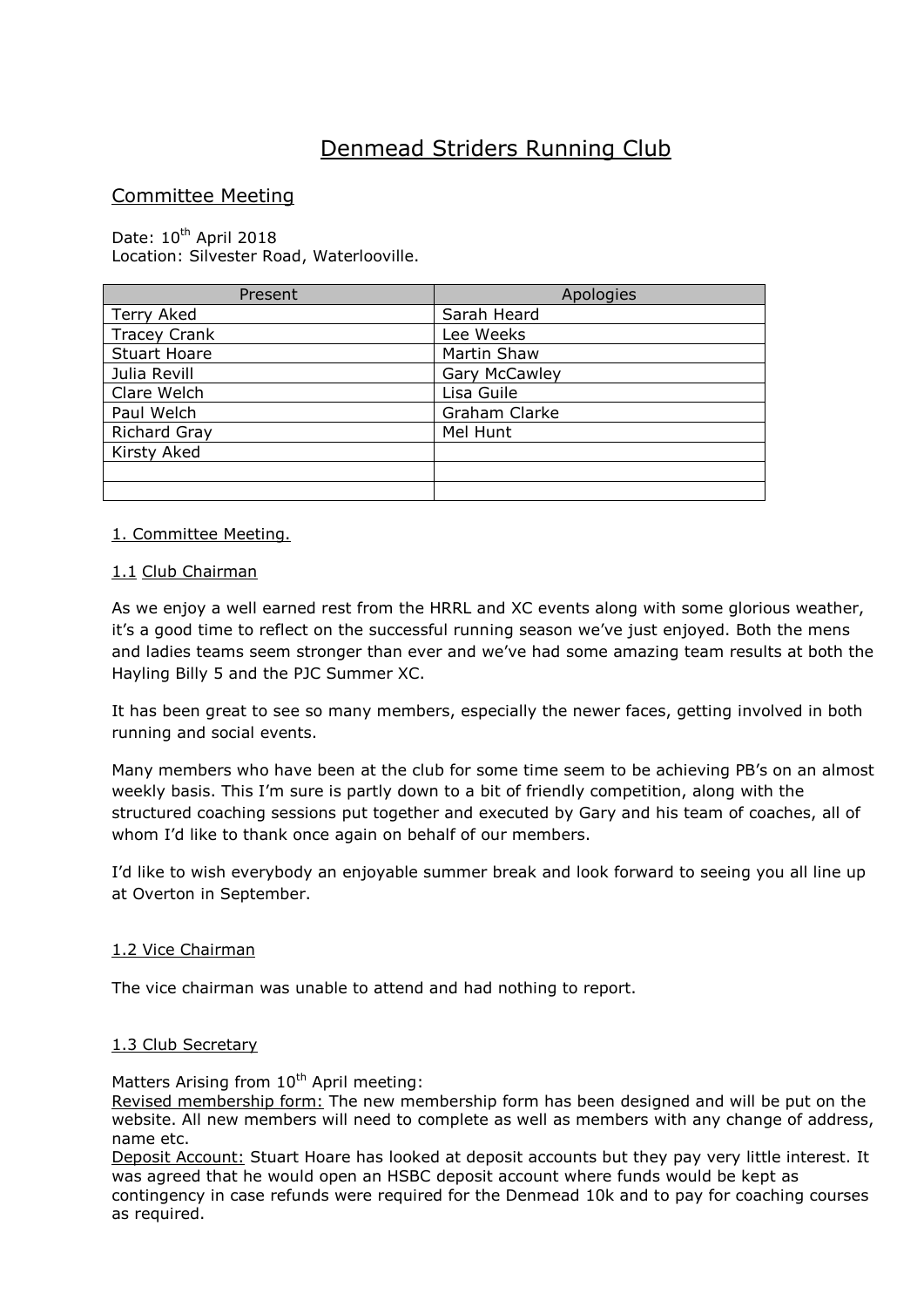# Denmead Striders Running Club

## Committee Meeting

Date: 10<sup>th</sup> April 2018 Location: Silvester Road, Waterlooville.

| Present             | Apologies            |  |
|---------------------|----------------------|--|
| Terry Aked          | Sarah Heard          |  |
| <b>Tracey Crank</b> | Lee Weeks            |  |
| <b>Stuart Hoare</b> | Martin Shaw          |  |
| Julia Revill        | <b>Gary McCawley</b> |  |
| Clare Welch         | Lisa Guile           |  |
| Paul Welch          | Graham Clarke        |  |
| <b>Richard Gray</b> | Mel Hunt             |  |
| Kirsty Aked         |                      |  |
|                     |                      |  |
|                     |                      |  |

#### 1. Committee Meeting.

#### 1.1 Club Chairman

As we enjoy a well earned rest from the HRRL and XC events along with some glorious weather, it's a good time to reflect on the successful running season we've just enjoyed. Both the mens and ladies teams seem stronger than ever and we've had some amazing team results at both the Hayling Billy 5 and the PJC Summer XC.

It has been great to see so many members, especially the newer faces, getting involved in both running and social events.

Many members who have been at the club for some time seem to be achieving PB's on an almost weekly basis. This I'm sure is partly down to a bit of friendly competition, along with the structured coaching sessions put together and executed by Gary and his team of coaches, all of whom I'd like to thank once again on behalf of our members.

I'd like to wish everybody an enjoyable summer break and look forward to seeing you all line up at Overton in September.

#### 1.2 Vice Chairman

The vice chairman was unable to attend and had nothing to report.

## 1.3 Club Secretary

Matters Arising from 10<sup>th</sup> April meeting:

Revised membership form: The new membership form has been designed and will be put on the website. All new members will need to complete as well as members with any change of address, name etc.

Deposit Account: Stuart Hoare has looked at deposit accounts but they pay very little interest. It was agreed that he would open an HSBC deposit account where funds would be kept as contingency in case refunds were required for the Denmead 10k and to pay for coaching courses as required.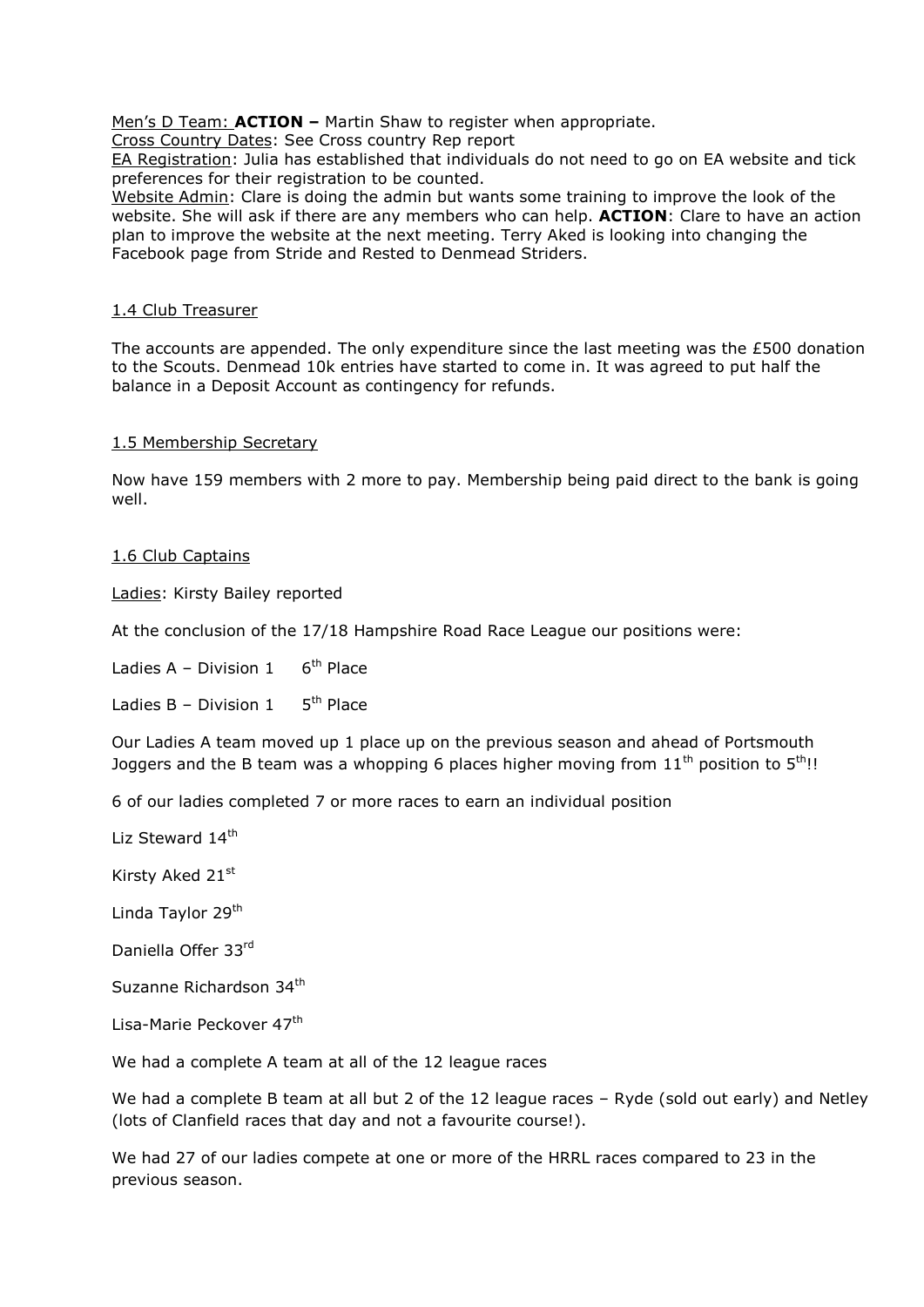Men's D Team: **ACTION –** Martin Shaw to register when appropriate.

Cross Country Dates: See Cross country Rep report

EA Registration: Julia has established that individuals do not need to go on EA website and tick preferences for their registration to be counted.

Website Admin: Clare is doing the admin but wants some training to improve the look of the website. She will ask if there are any members who can help. **ACTION**: Clare to have an action plan to improve the website at the next meeting. Terry Aked is looking into changing the Facebook page from Stride and Rested to Denmead Striders.

## 1.4 Club Treasurer

The accounts are appended. The only expenditure since the last meeting was the £500 donation to the Scouts. Denmead 10k entries have started to come in. It was agreed to put half the balance in a Deposit Account as contingency for refunds.

## 1.5 Membership Secretary

Now have 159 members with 2 more to pay. Membership being paid direct to the bank is going well.

#### 1.6 Club Captains

Ladies: Kirsty Bailey reported

At the conclusion of the 17/18 Hampshire Road Race League our positions were:

Ladies  $A - Division 1$  $6<sup>th</sup>$  Place

Ladies  $B -$  Division 1  $5<sup>th</sup>$  Place

Our Ladies A team moved up 1 place up on the previous season and ahead of Portsmouth Joggers and the B team was a whopping 6 places higher moving from  $11<sup>th</sup>$  position to  $5<sup>th</sup>$ !!

6 of our ladies completed 7 or more races to earn an individual position

Liz Steward 14<sup>th</sup>

Kirsty Aked 21st

Linda Taylor 29<sup>th</sup>

Daniella Offer 33rd

Suzanne Richardson 34th

Lisa-Marie Peckover 47<sup>th</sup>

We had a complete A team at all of the 12 league races

We had a complete B team at all but 2 of the 12 league races - Ryde (sold out early) and Netley (lots of Clanfield races that day and not a favourite course!).

We had 27 of our ladies compete at one or more of the HRRL races compared to 23 in the previous season.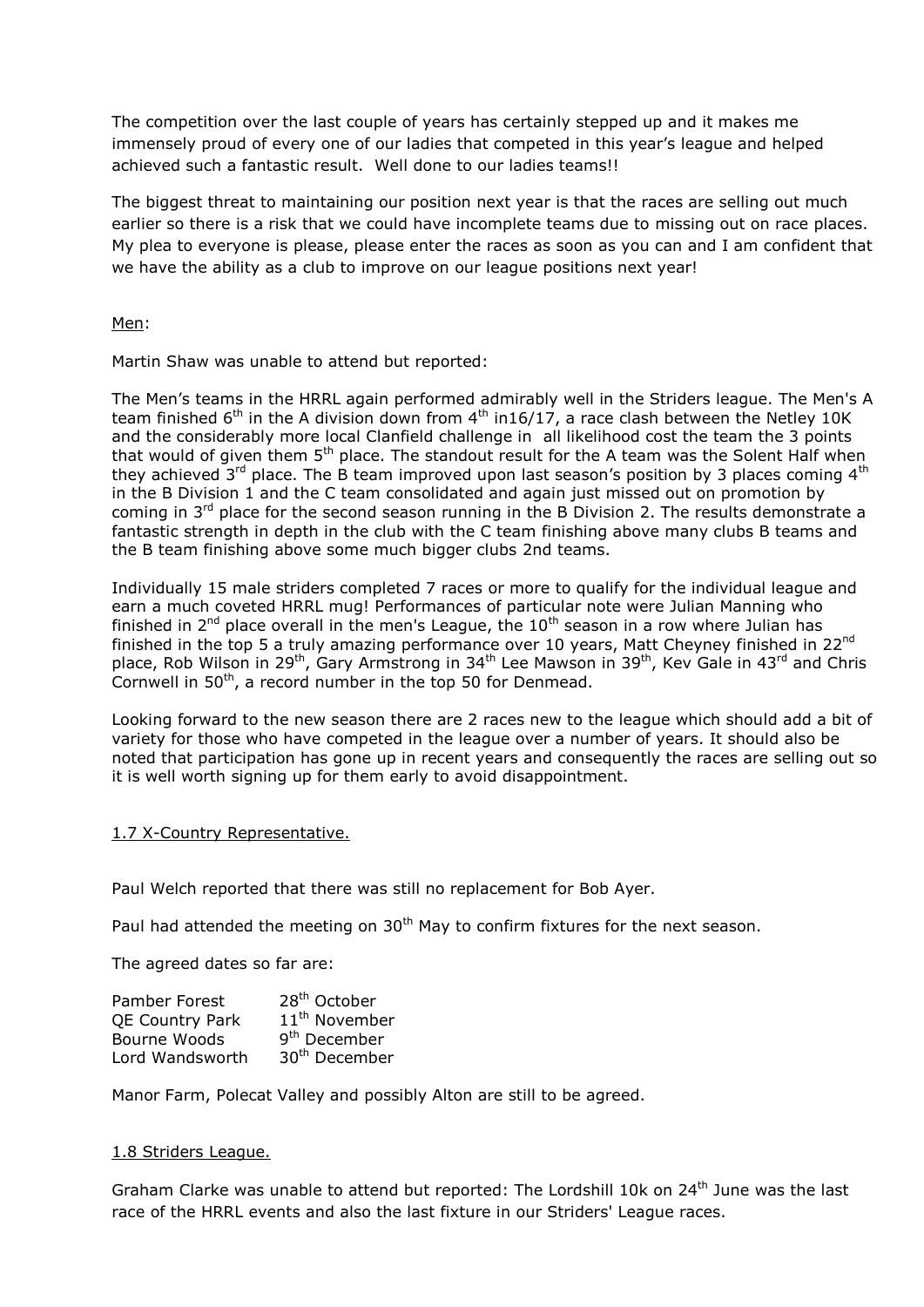The competition over the last couple of years has certainly stepped up and it makes me immensely proud of every one of our ladies that competed in this year's league and helped achieved such a fantastic result. Well done to our ladies teams!!

The biggest threat to maintaining our position next year is that the races are selling out much earlier so there is a risk that we could have incomplete teams due to missing out on race places. My plea to everyone is please, please enter the races as soon as you can and I am confident that we have the ability as a club to improve on our league positions next year!

Men:

Martin Shaw was unable to attend but reported:

The Men's teams in the HRRL again performed admirably well in the Striders league. The Men's A team finished  $6<sup>th</sup>$  in the A division down from  $4<sup>th</sup>$  in16/17, a race clash between the Netley 10K and the considerably more local Clanfield challenge in all likelihood cost the team the 3 points that would of given them 5<sup>th</sup> place. The standout result for the A team was the Solent Half when they achieved  $3^{rd}$  place. The B team improved upon last season's position by 3 places coming  $4^{th}$ in the B Division 1 and the C team consolidated and again just missed out on promotion by coming in  $3<sup>rd</sup>$  place for the second season running in the B Division 2. The results demonstrate a fantastic strength in depth in the club with the C team finishing above many clubs B teams and the B team finishing above some much bigger clubs 2nd teams.

Individually 15 male striders completed 7 races or more to qualify for the individual league and earn a much coveted HRRL mug! Performances of particular note were Julian Manning who finished in  $2^{nd}$  place overall in the men's League, the  $10^{th}$  season in a row where Julian has finished in the top 5 a truly amazing performance over 10 years, Matt Cheyney finished in 22<sup>nd</sup> place, Rob Wilson in 29<sup>th</sup>, Gary Armstrong in 34<sup>th</sup> Lee Mawson in 39<sup>th</sup>, Kev Gale in 43<sup>rd</sup> and Chris Cornwell in 50<sup>th</sup>, a record number in the top 50 for Denmead.

Looking forward to the new season there are 2 races new to the league which should add a bit of variety for those who have competed in the league over a number of years. It should also be noted that participation has gone up in recent years and consequently the races are selling out so it is well worth signing up for them early to avoid disappointment.

## 1.7 X-Country Representative.

Paul Welch reported that there was still no replacement for Bob Ayer.

Paul had attended the meeting on 30<sup>th</sup> May to confirm fixtures for the next season.

The agreed dates so far are:

| Pamber Forest          | 28 <sup>th</sup> October  |
|------------------------|---------------------------|
| <b>QE Country Park</b> | 11 <sup>th</sup> November |
| Bourne Woods           | 9 <sup>th</sup> December  |
| Lord Wandsworth        | 30 <sup>th</sup> December |

Manor Farm, Polecat Valley and possibly Alton are still to be agreed.

#### 1.8 Striders League.

Graham Clarke was unable to attend but reported: The Lordshill 10k on 24<sup>th</sup> June was the last race of the HRRL events and also the last fixture in our Striders' League races.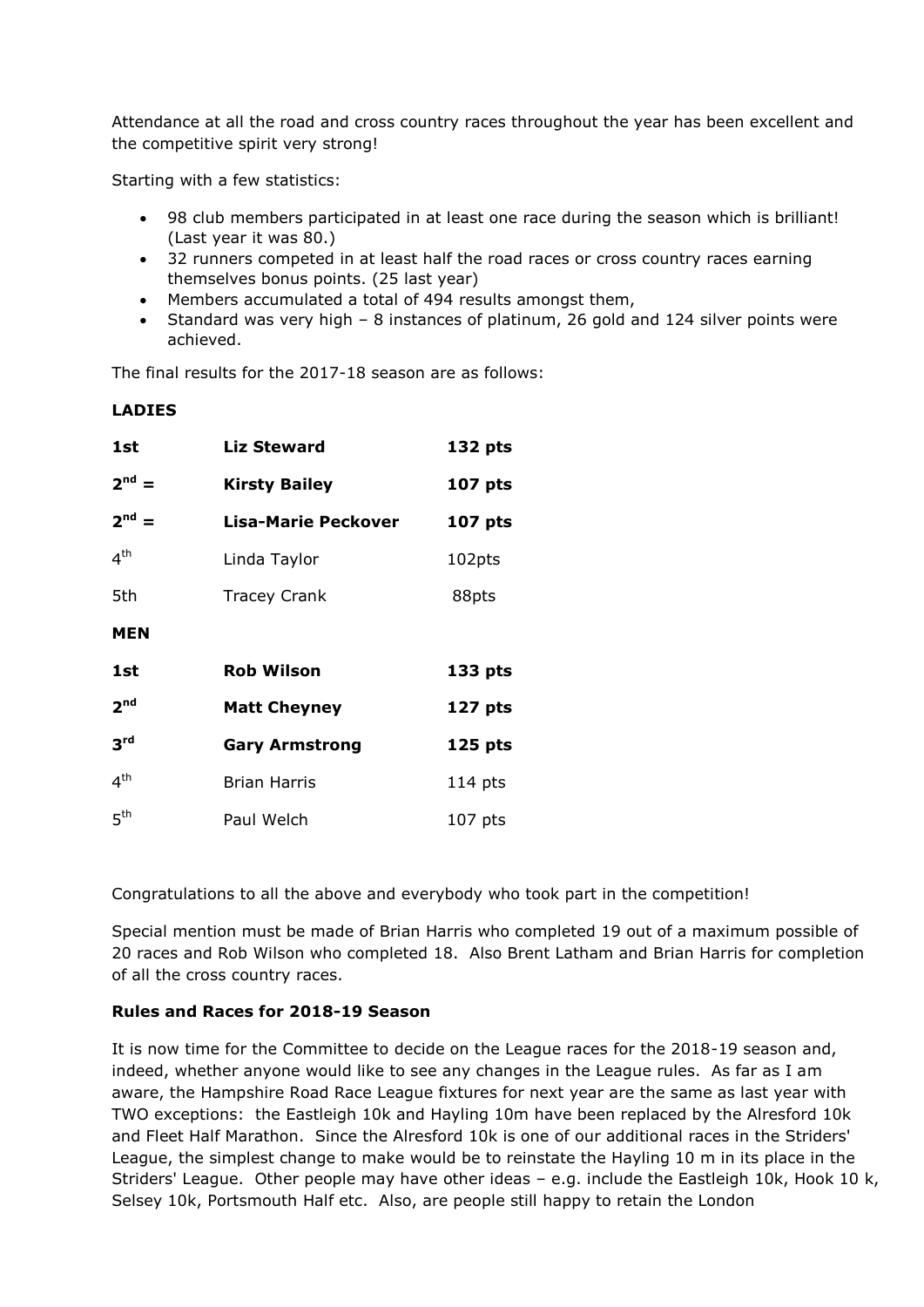Attendance at all the road and cross country races throughout the year has been excellent and the competitive spirit very strong!

Starting with a few statistics:

**LADIES**

- 98 club members participated in at least one race during the season which is brilliant! (Last year it was 80.)
- 32 runners competed in at least half the road races or cross country races earning themselves bonus points. (25 last year)
- Members accumulated a total of 494 results amongst them,
- Standard was very high 8 instances of platinum, 26 gold and 124 silver points were achieved.

The final results for the 2017-18 season are as follows:

| 1st             | <b>Liz Steward</b><br>132 pts          |           |
|-----------------|----------------------------------------|-----------|
| $2^{nd} =$      | <b>Kirsty Bailey</b><br><b>107 pts</b> |           |
| $2nd$ =         | Lisa-Marie Peckover<br><b>107 pts</b>  |           |
| 4 <sup>th</sup> | Linda Taylor                           | 102pts    |
| 5th             | <b>Tracey Crank</b><br>88pts           |           |
| <b>MEN</b>      |                                        |           |
| 1st             | <b>Rob Wilson</b>                      | 133 pts   |
| 2 <sup>nd</sup> | <b>Matt Cheyney</b>                    | 127 pts   |
| 3 <sup>rd</sup> | <b>Gary Armstrong</b>                  | 125 pts   |
| $4^{\text{th}}$ | <b>Brian Harris</b>                    | $114$ pts |
| 5 <sup>th</sup> | Paul Welch                             | $107$ pts |

Congratulations to all the above and everybody who took part in the competition!

Special mention must be made of Brian Harris who completed 19 out of a maximum possible of 20 races and Rob Wilson who completed 18. Also Brent Latham and Brian Harris for completion of all the cross country races.

#### **Rules and Races for 2018-19 Season**

It is now time for the Committee to decide on the League races for the 2018-19 season and, indeed, whether anyone would like to see any changes in the League rules. As far as I am aware, the Hampshire Road Race League fixtures for next year are the same as last year with TWO exceptions: the Eastleigh 10k and Hayling 10m have been replaced by the Alresford 10k and Fleet Half Marathon. Since the Alresford 10k is one of our additional races in the Striders' League, the simplest change to make would be to reinstate the Hayling 10 m in its place in the Striders' League. Other people may have other ideas – e.g. include the Eastleigh 10k, Hook 10 k, Selsey 10k, Portsmouth Half etc. Also, are people still happy to retain the London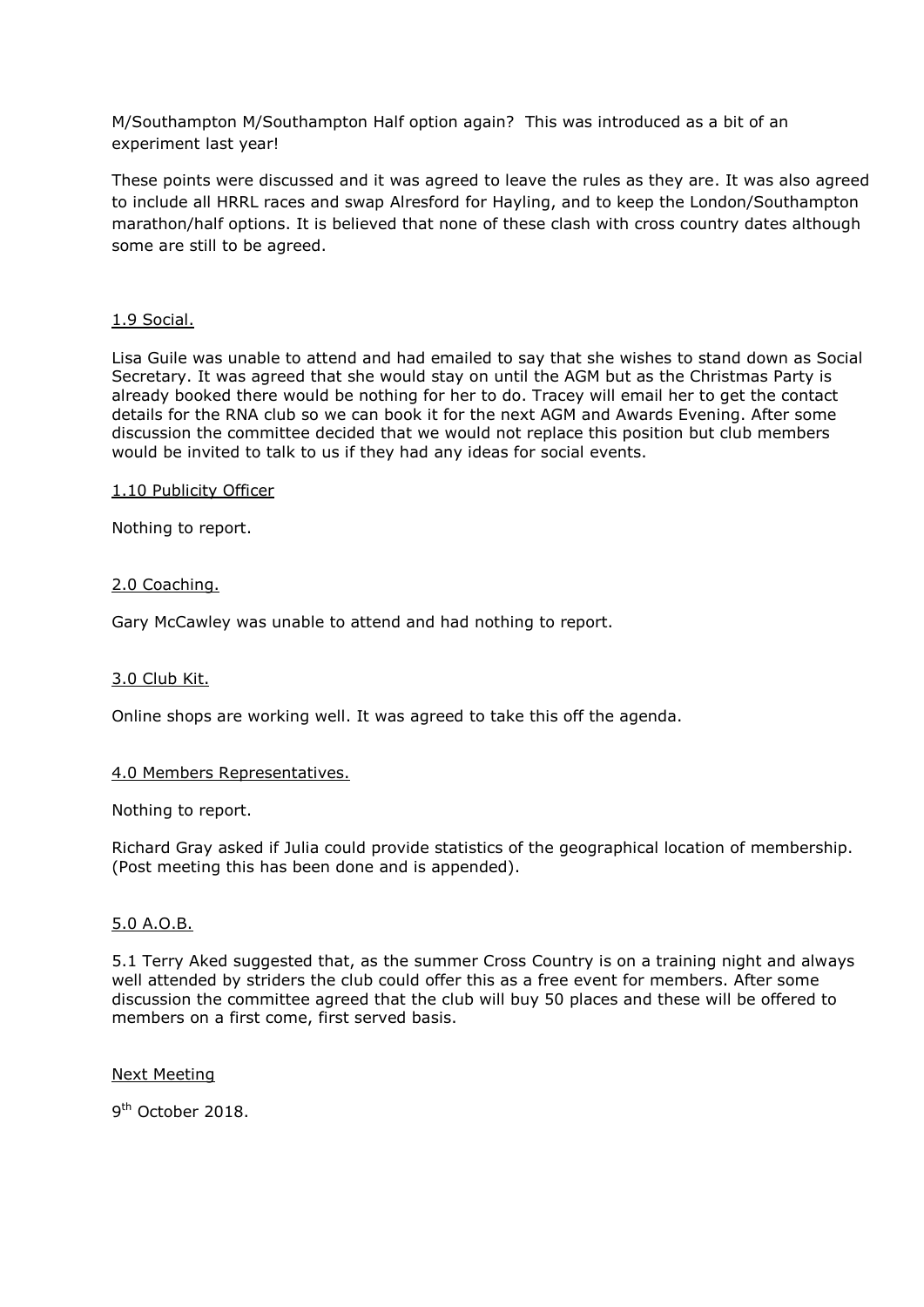M/Southampton M/Southampton Half option again? This was introduced as a bit of an experiment last year!

These points were discussed and it was agreed to leave the rules as they are. It was also agreed to include all HRRL races and swap Alresford for Hayling, and to keep the London/Southampton marathon/half options. It is believed that none of these clash with cross country dates although some are still to be agreed.

## 1.9 Social.

Lisa Guile was unable to attend and had emailed to say that she wishes to stand down as Social Secretary. It was agreed that she would stay on until the AGM but as the Christmas Party is already booked there would be nothing for her to do. Tracey will email her to get the contact details for the RNA club so we can book it for the next AGM and Awards Evening. After some discussion the committee decided that we would not replace this position but club members would be invited to talk to us if they had any ideas for social events.

#### 1.10 Publicity Officer

Nothing to report.

## 2.0 Coaching.

Gary McCawley was unable to attend and had nothing to report.

#### 3.0 Club Kit.

Online shops are working well. It was agreed to take this off the agenda.

#### 4.0 Members Representatives.

#### Nothing to report.

Richard Gray asked if Julia could provide statistics of the geographical location of membership. (Post meeting this has been done and is appended).

#### 5.0 A.O.B.

5.1 Terry Aked suggested that, as the summer Cross Country is on a training night and always well attended by striders the club could offer this as a free event for members. After some discussion the committee agreed that the club will buy 50 places and these will be offered to members on a first come, first served basis.

#### Next Meeting

9<sup>th</sup> October 2018.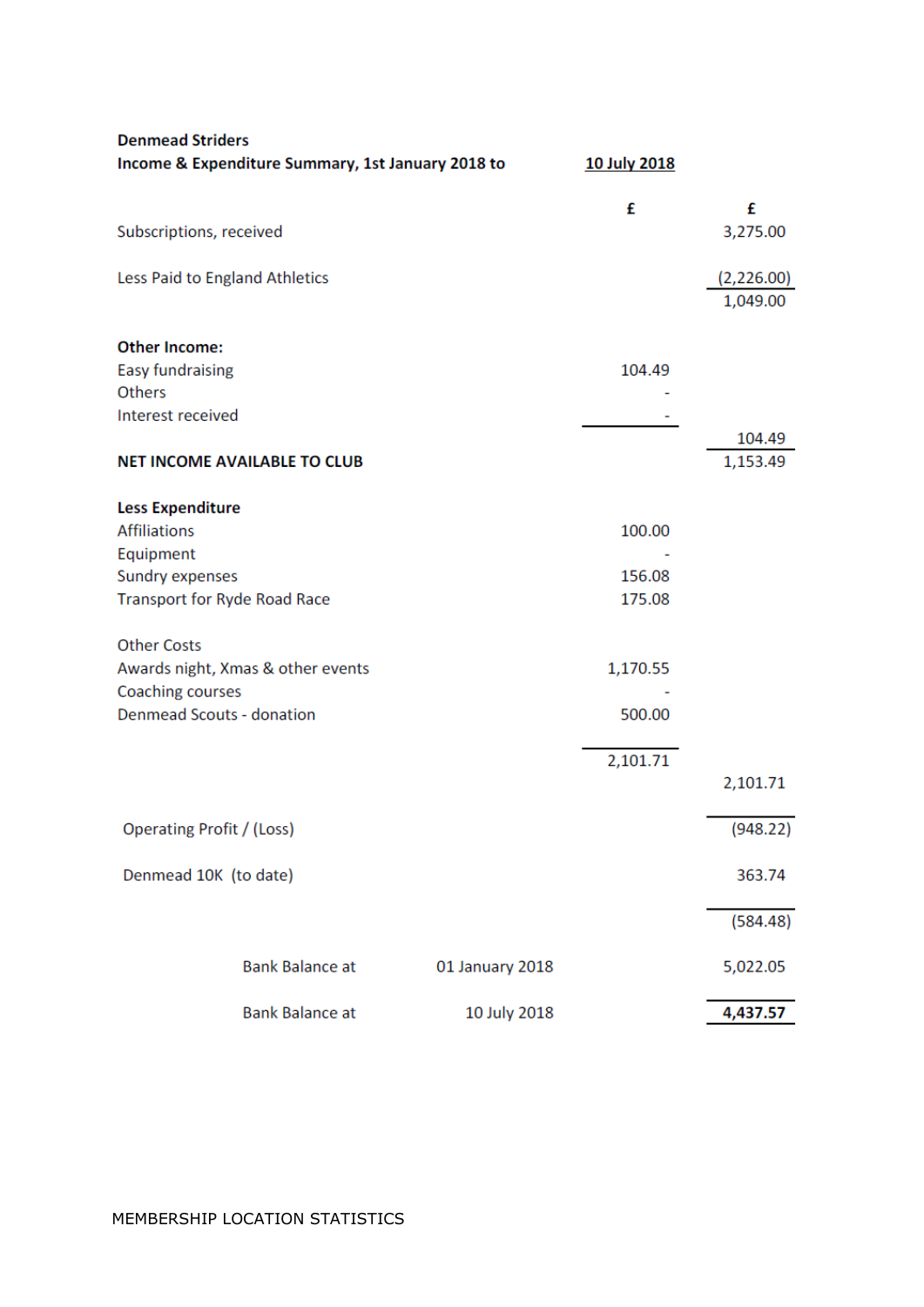| <b>Denmead Striders</b>             |                                                   |                 |              |                        |
|-------------------------------------|---------------------------------------------------|-----------------|--------------|------------------------|
|                                     | Income & Expenditure Summary, 1st January 2018 to |                 | 10 July 2018 |                        |
|                                     |                                                   |                 | £            | £                      |
| Subscriptions, received             |                                                   |                 |              | 3,275.00               |
| Less Paid to England Athletics      |                                                   |                 |              | (2,226.00)<br>1,049.00 |
| <b>Other Income:</b>                |                                                   |                 |              |                        |
| <b>Easy fundraising</b>             |                                                   |                 | 104.49       |                        |
| <b>Others</b>                       |                                                   |                 |              |                        |
| Interest received                   |                                                   |                 |              |                        |
|                                     |                                                   |                 |              | 104.49                 |
|                                     | <b>NET INCOME AVAILABLE TO CLUB</b>               |                 |              | 1,153.49               |
| <b>Less Expenditure</b>             |                                                   |                 |              |                        |
| <b>Affiliations</b>                 |                                                   |                 | 100.00       |                        |
| Equipment                           |                                                   |                 |              |                        |
| Sundry expenses                     |                                                   |                 | 156.08       |                        |
| <b>Transport for Ryde Road Race</b> |                                                   |                 | 175.08       |                        |
|                                     |                                                   |                 |              |                        |
| <b>Other Costs</b>                  |                                                   |                 |              |                        |
|                                     | Awards night, Xmas & other events                 |                 | 1,170.55     |                        |
| Coaching courses                    |                                                   |                 |              |                        |
| <b>Denmead Scouts - donation</b>    |                                                   |                 | 500.00       |                        |
|                                     |                                                   |                 |              |                        |
|                                     |                                                   |                 | 2,101.71     |                        |
|                                     |                                                   |                 |              | 2,101.71               |
|                                     |                                                   |                 |              |                        |
| Operating Profit / (Loss)           |                                                   |                 |              | (948.22)               |
| Denmead 10K (to date)               |                                                   |                 |              | 363.74                 |
|                                     |                                                   |                 |              |                        |
|                                     |                                                   |                 |              | (584.48)               |
|                                     | <b>Bank Balance at</b>                            | 01 January 2018 |              | 5,022.05               |
|                                     | <b>Bank Balance at</b>                            | 10 July 2018    |              | 4,437.57               |
|                                     |                                                   |                 |              |                        |